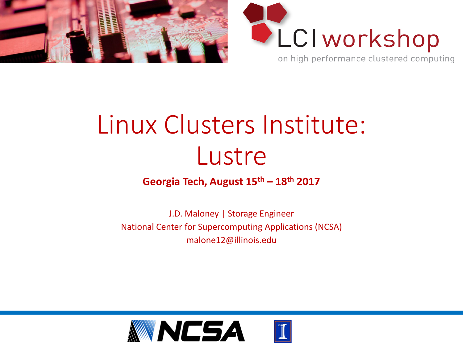



Linux Clusters Institute: Lustre

**Georgia Tech, August 15th – 18th 2017**

J.D. Maloney | Storage Engineer National Center for Supercomputing Applications (NCSA) malone12@illinois.edu

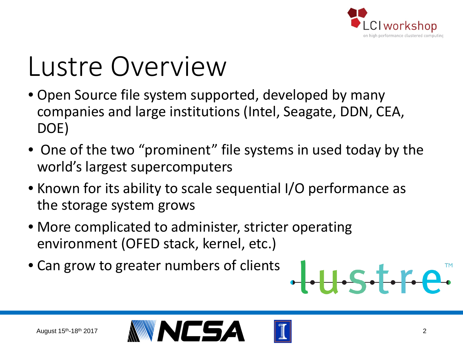

## Lustre Overview

- Open Source file system supported, developed by many companies and large institutions (Intel, Seagate, DDN, CEA, DOE)
- One of the two "prominent" file systems in used today by the world's largest supercomputers
- Known for its ability to scale sequential I/O performance as the storage system grows
- More complicated to administer, stricter operating environment (OFED stack, kernel, etc.)
- Can grow to greater numbers of clients





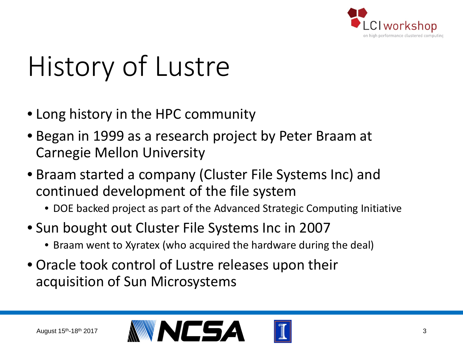

# History of Lustre

- Long history in the HPC community
- Began in 1999 as a research project by Peter Braam at Carnegie Mellon University
- Braam started a company (Cluster File Systems Inc) and continued development of the file system
	- DOE backed project as part of the Advanced Strategic Computing Initiative
- Sun bought out Cluster File Systems Inc in 2007
	- Braam went to Xyratex (who acquired the hardware during the deal)
- Oracle took control of Lustre releases upon their acquisition of Sun Microsystems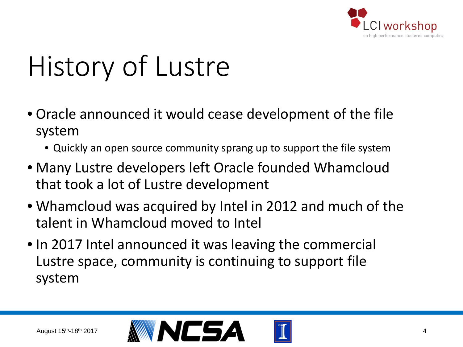

# History of Lustre

- Oracle announced it would cease development of the file system
	- Quickly an open source community sprang up to support the file system
- Many Lustre developers left Oracle founded Whamcloud that took a lot of Lustre development
- Whamcloud was acquired by Intel in 2012 and much of the talent in Whamcloud moved to Intel
- In 2017 Intel announced it was leaving the commercial Lustre space, community is continuing to support file system

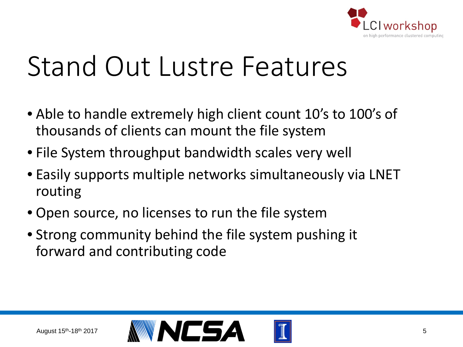

#### Stand Out Lustre Features

- Able to handle extremely high client count 10's to 100's of thousands of clients can mount the file system
- File System throughput bandwidth scales very well
- Easily supports multiple networks simultaneously via LNET routing
- Open source, no licenses to run the file system
- Strong community behind the file system pushing it forward and contributing code

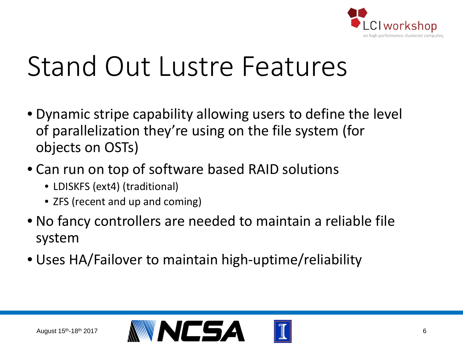

#### Stand Out Lustre Features

- Dynamic stripe capability allowing users to define the level of parallelization they're using on the file system (for objects on OSTs)
- Can run on top of software based RAID solutions
	- LDISKFS (ext4) (traditional)
	- ZFS (recent and up and coming)
- No fancy controllers are needed to maintain a reliable file system
- Uses HA/Failover to maintain high-uptime/reliability

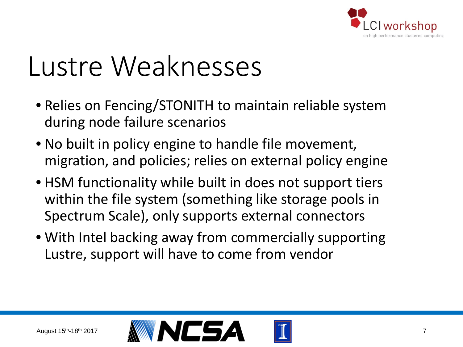

## Lustre Weaknesses

- Relies on Fencing/STONITH to maintain reliable system during node failure scenarios
- No built in policy engine to handle file movement, migration, and policies; relies on external policy engine
- HSM functionality while built in does not support tiers within the file system (something like storage pools in Spectrum Scale), only supports external connectors
- With Intel backing away from commercially supporting Lustre, support will have to come from vendor

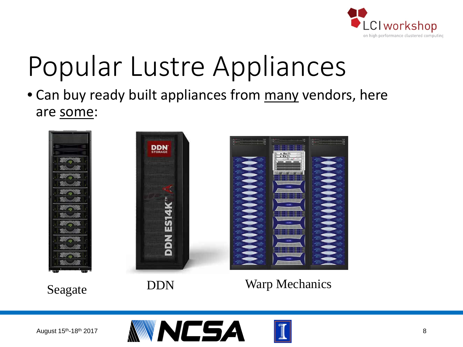

## Popular Lustre Appliances

• Can buy ready built appliances from many vendors, here are some:





Seagate DDN Warp Mechanics



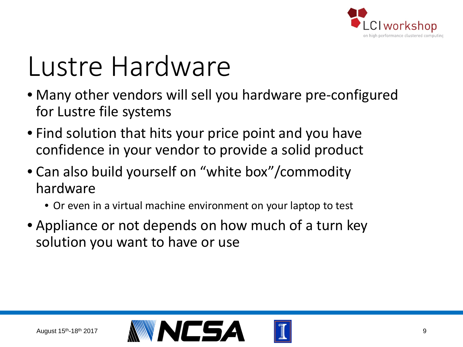

## Lustre Hardware

- Many other vendors will sell you hardware pre-configured for Lustre file systems
- Find solution that hits your price point and you have confidence in your vendor to provide a solid product
- Can also build yourself on "white box"/commodity hardware
	- Or even in a virtual machine environment on your laptop to test
- Appliance or not depends on how much of a turn key solution you want to have or use

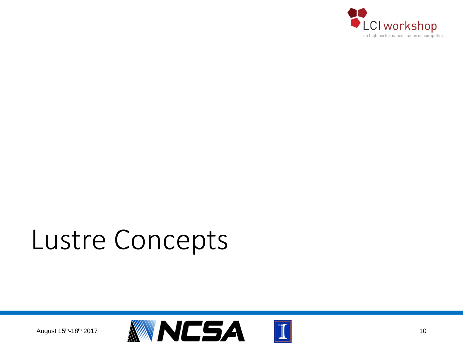

#### Lustre Concepts

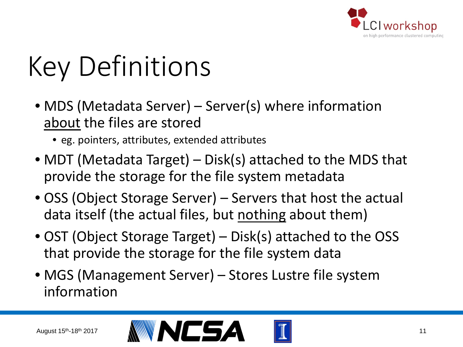

# Key Definitions

- MDS (Metadata Server) Server(s) where information about the files are stored
	- eg. pointers, attributes, extended attributes
- MDT (Metadata Target) Disk(s) attached to the MDS that provide the storage for the file system metadata
- OSS (Object Storage Server) Servers that host the actual data itself (the actual files, but nothing about them)
- OST (Object Storage Target) Disk(s) attached to the OSS that provide the storage for the file system data
- MGS (Management Server) Stores Lustre file system information



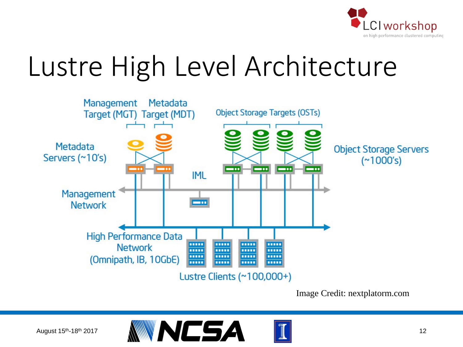

#### Lustre High Level Architecture



Image Credit: nextplatorm.com



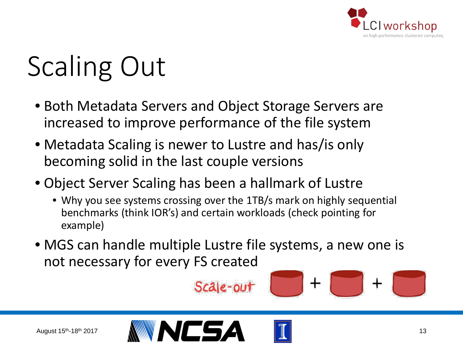

# Scaling Out

- Both Metadata Servers and Object Storage Servers are increased to improve performance of the file system
- Metadata Scaling is newer to Lustre and has/is only becoming solid in the last couple versions
- Object Server Scaling has been a hallmark of Lustre
	- Why you see systems crossing over the 1TB/s mark on highly sequential benchmarks (think IOR's) and certain workloads (check pointing for example)
- MGS can handle multiple Lustre file systems, a new one is not necessary for every FS created



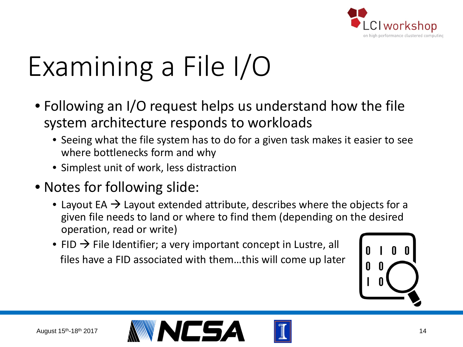

## Examining a File I/O

- Following an I/O request helps us understand how the file system architecture responds to workloads
	- Seeing what the file system has to do for a given task makes it easier to see where bottlenecks form and why
	- Simplest unit of work, less distraction
- Notes for following slide:
	- Layout EA  $\rightarrow$  Layout extended attribute, describes where the objects for a given file needs to land or where to find them (depending on the desired operation, read or write)
	- FID  $\rightarrow$  File Identifier; a very important concept in Lustre, all files have a FID associated with them…this will come up later





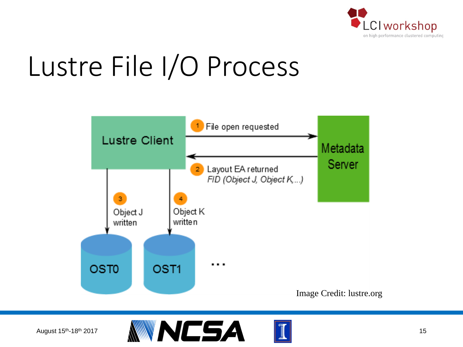

## Lustre File I/O Process





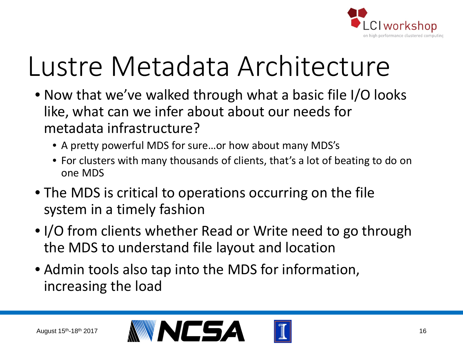

#### Lustre Metadata Architecture

- Now that we've walked through what a basic file I/O looks like, what can we infer about about our needs for metadata infrastructure?
	- A pretty powerful MDS for sure…or how about many MDS's
	- For clusters with many thousands of clients, that's a lot of beating to do on one MDS
- The MDS is critical to operations occurring on the file system in a timely fashion
- I/O from clients whether Read or Write need to go through the MDS to understand file layout and location
- Admin tools also tap into the MDS for information, increasing the load

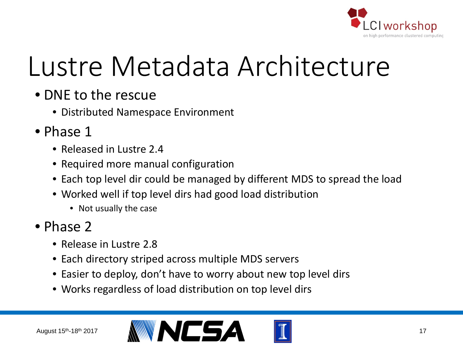

## Lustre Metadata Architecture

- DNE to the rescue
	- Distributed Namespace Environment
- Phase 1
	- Released in Lustre 2.4
	- Required more manual configuration
	- Each top level dir could be managed by different MDS to spread the load
	- Worked well if top level dirs had good load distribution
		- Not usually the case
- Phase 2
	- Release in Lustre 2.8
	- Each directory striped across multiple MDS servers
	- Easier to deploy, don't have to worry about new top level dirs
	- Works regardless of load distribution on top level dirs



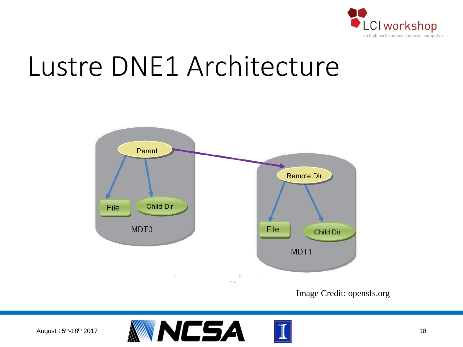

#### Lustre DNE1 Architecture



Image Credit: opensfs.org

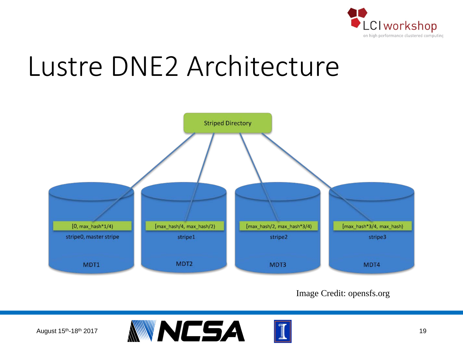

#### Lustre DNE2 Architecture



Image Credit: opensfs.org



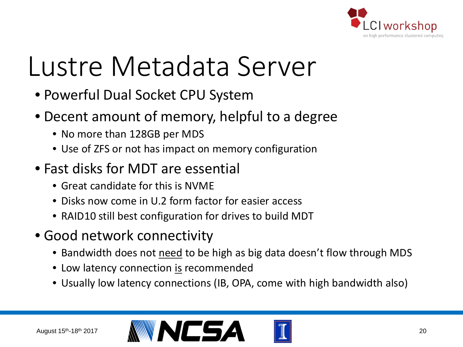

#### Lustre Metadata Server

- Powerful Dual Socket CPU System
- Decent amount of memory, helpful to a degree
	- No more than 128GB per MDS
	- Use of ZFS or not has impact on memory configuration
- Fast disks for MDT are essential
	- Great candidate for this is NVME
	- Disks now come in U.2 form factor for easier access
	- RAID10 still best configuration for drives to build MDT
- Good network connectivity
	- Bandwidth does not need to be high as big data doesn't flow through MDS
	- Low latency connection is recommended
	- Usually low latency connections (IB, OPA, come with high bandwidth also)



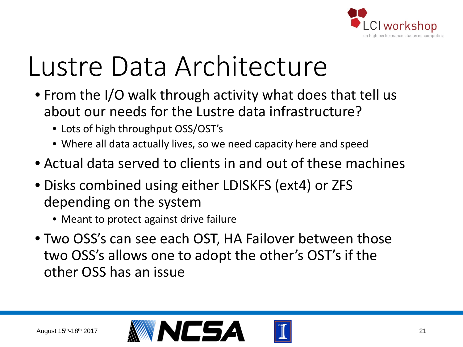

## Lustre Data Architecture

- From the I/O walk through activity what does that tell us about our needs for the Lustre data infrastructure?
	- Lots of high throughput OSS/OST's
	- Where all data actually lives, so we need capacity here and speed
- Actual data served to clients in and out of these machines
- Disks combined using either LDISKFS (ext4) or ZFS depending on the system
	- Meant to protect against drive failure
- Two OSS's can see each OST, HA Failover between those two OSS's allows one to adopt the other's OST's if the other OSS has an issue

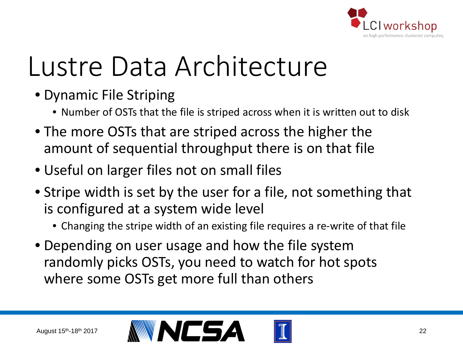

## Lustre Data Architecture

- Dynamic File Striping
	- Number of OSTs that the file is striped across when it is written out to disk
- The more OSTs that are striped across the higher the amount of sequential throughput there is on that file
- Useful on larger files not on small files
- Stripe width is set by the user for a file, not something that is configured at a system wide level
	- Changing the stripe width of an existing file requires a re-write of that file
- Depending on user usage and how the file system randomly picks OSTs, you need to watch for hot spots where some OSTs get more full than others

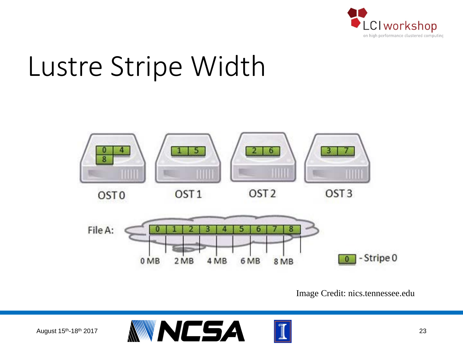

### Lustre Stripe Width





Image Credit: nics.tennessee.edu

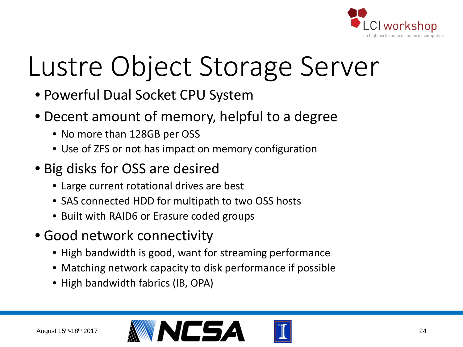

## Lustre Object Storage Server

- Powerful Dual Socket CPU System
- Decent amount of memory, helpful to a degree
	- No more than 128GB per OSS
	- Use of ZFS or not has impact on memory configuration
- Big disks for OSS are desired
	- Large current rotational drives are best
	- SAS connected HDD for multipath to two OSS hosts
	- Built with RAID6 or Erasure coded groups
- Good network connectivity
	- High bandwidth is good, want for streaming performance
	- Matching network capacity to disk performance if possible
	- High bandwidth fabrics (IB, OPA)

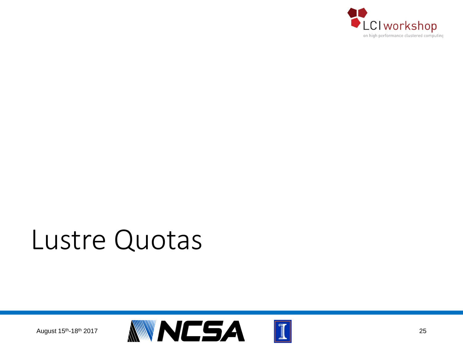

#### Lustre Quotas

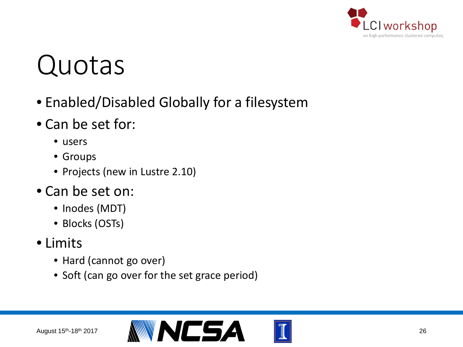

#### Quotas

- Enabled/Disabled Globally for a filesystem
- Can be set for:
	- users
	- Groups
	- Projects (new in Lustre 2.10)
- Can be set on:
	- Inodes (MDT)
	- Blocks (OSTs)
- Limits
	- Hard (cannot go over)
	- Soft (can go over for the set grace period)

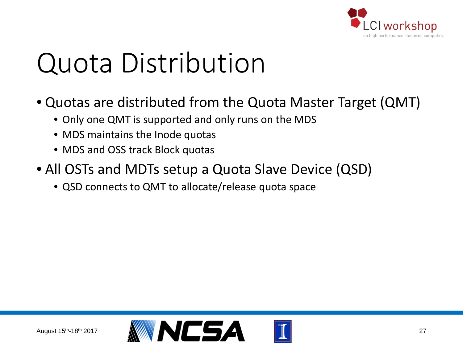

## Quota Distribution

- Quotas are distributed from the Quota Master Target (QMT)
	- Only one QMT is supported and only runs on the MDS
	- MDS maintains the Inode quotas
	- MDS and OSS track Block quotas
- All OSTs and MDTs setup a Quota Slave Device (QSD)
	- QSD connects to QMT to allocate/release quota space

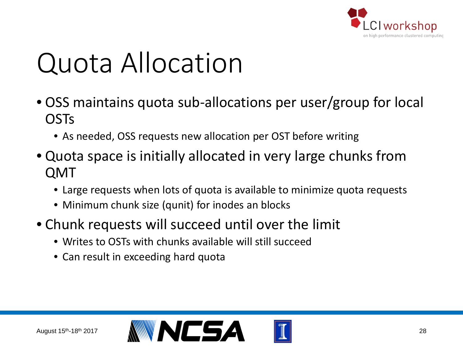

## Quota Allocation

- OSS maintains quota sub-allocations per user/group for local **OSTs** 
	- As needed, OSS requests new allocation per OST before writing
- Quota space is initially allocated in very large chunks from QMT
	- Large requests when lots of quota is available to minimize quota requests
	- Minimum chunk size (qunit) for inodes an blocks
- Chunk requests will succeed until over the limit
	- Writes to OSTs with chunks available will still succeed
	- Can result in exceeding hard quota

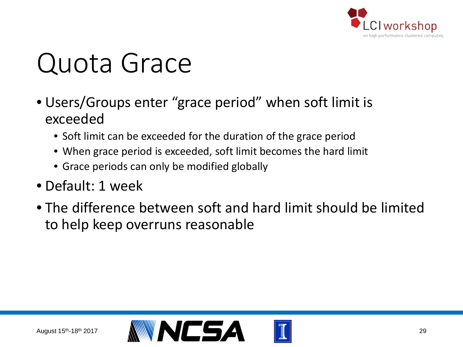

## Quota Grace

- Users/Groups enter "grace period" when soft limit is exceeded
	- Soft limit can be exceeded for the duration of the grace period
	- When grace period is exceeded, soft limit becomes the hard limit
	- Grace periods can only be modified globally
- Default: 1 week
- The difference between soft and hard limit should be limited to help keep overruns reasonable

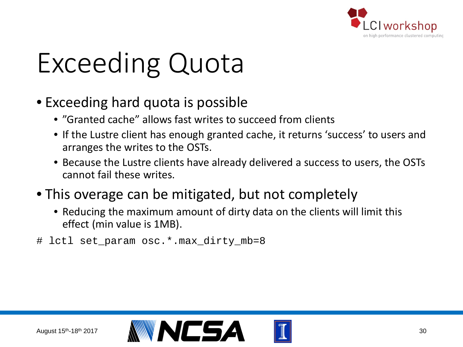

## Exceeding Quota

#### • Exceeding hard quota is possible

- "Granted cache" allows fast writes to succeed from clients
- If the Lustre client has enough granted cache, it returns 'success' to users and arranges the writes to the OSTs.
- Because the Lustre clients have already delivered a success to users, the OSTs cannot fail these writes.
- This overage can be mitigated, but not completely
	- Reducing the maximum amount of dirty data on the clients will limit this effect (min value is 1MB).
- # lctl set param osc.\*.max dirty mb=8

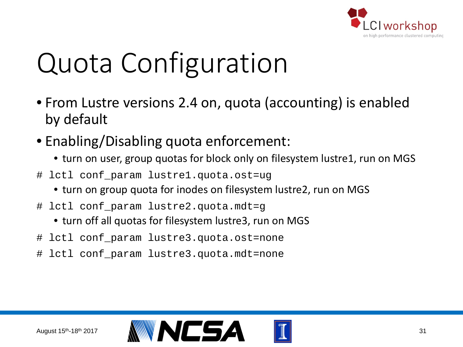

## Quota Configuration

- From Lustre versions 2.4 on, quota (accounting) is enabled by default
- Enabling/Disabling quota enforcement:
	- turn on user, group quotas for block only on filesystem lustre1, run on MGS
- # lctl conf param lustre1.quota.ost=ug
	- turn on group quota for inodes on filesystem lustre2, run on MGS
- # lctl conf\_param lustre2.quota.mdt=g
	- turn off all quotas for filesystem lustre3, run on MGS
- # lctl conf\_param lustre3.quota.ost=none
- # lctl conf\_param lustre3.quota.mdt=none

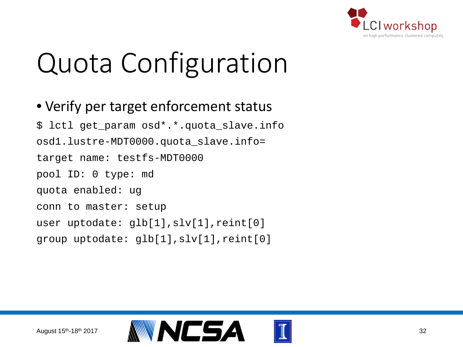

## Quota Configuration

#### • Verify per target enforcement status

\$ lctl get\_param osd\*.\*.quota\_slave.info osd1.lustre-MDT0000.quota\_slave.info= target name: testfs-MDT0000 pool ID: 0 type: md quota enabled: ug conn to master: setup user uptodate: glb[1], slv[1], reint[0] group uptodate: glb[1],slv[1],reint[0]

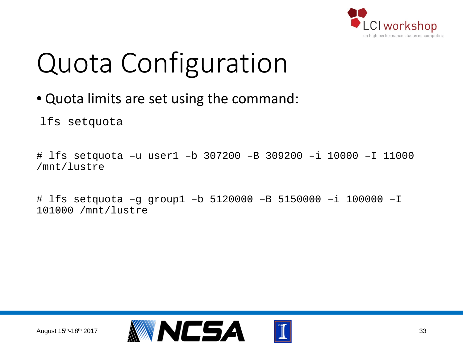

## Quota Configuration

- Quota limits are set using the command:
- lfs setquota

# lfs setquota –u user1 –b 307200 –B 309200 –i 10000 –I 11000 /mnt/lustre

# lfs setquota –g group1 –b 5120000 –B 5150000 –i 100000 –I 101000 /mnt/lustre

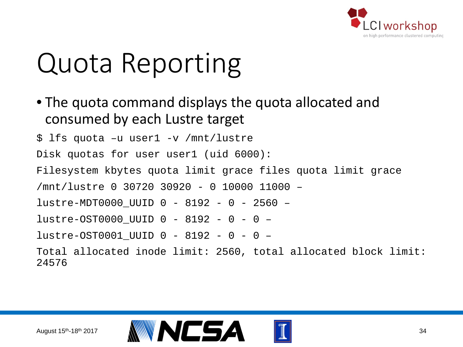

#### Quota Reporting

• The quota command displays the quota allocated and consumed by each Lustre target

\$ lfs quota –u user1 -v /mnt/lustre Disk quotas for user user1 (uid 6000): Filesystem kbytes quota limit grace files quota limit grace /mnt/lustre 0 30720 30920 - 0 10000 11000 – lustre-MDT0000\_UUID 0 - 8192 - 0 - 2560 – lustre-OST0000\_UUID 0 - 8192 - 0 - 0 – lustre-OST0001\_UUID 0 - 8192 - 0 - 0 – Total allocated inode limit: 2560, total allocated block limit: 24576

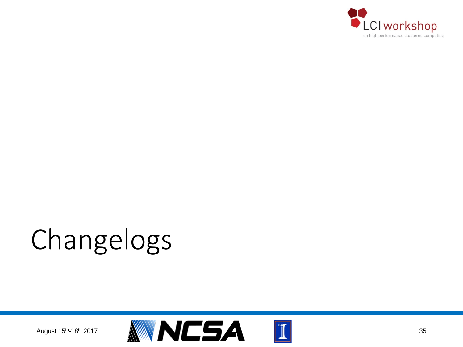

## Changelogs

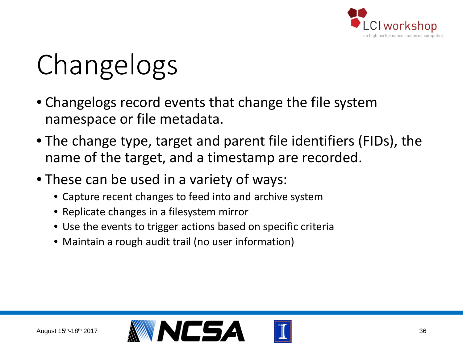

## Changelogs

- Changelogs record events that change the file system namespace or file metadata.
- The change type, target and parent file identifiers (FIDs), the name of the target, and a timestamp are recorded.
- These can be used in a variety of ways:
	- Capture recent changes to feed into and archive system
	- Replicate changes in a filesystem mirror
	- Use the events to trigger actions based on specific criteria
	- Maintain a rough audit trail (no user information)

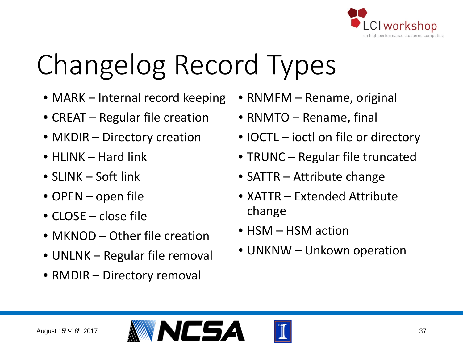

## Changelog Record Types

- MARK Internal record keeping
- CREAT Regular file creation
- MKDIR Directory creation
- HLINK Hard link
- $SIINK Soft link$
- OPEN open file
- CLOSE close file
- MKNOD Other file creation
- UNLNK Regular file removal
- RMDIR Directory removal
- RNMFM Rename, original
- RNMTO Rename, final
- IOCTL ioctl on file or directory
- TRUNC Regular file truncated
- SATTR Attribute change
- XATTR Extended Attribute change
- HSM HSM action
- UNKNW Unkown operation



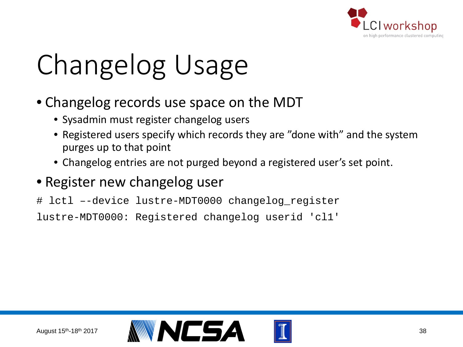

#### • Changelog records use space on the MDT

- Sysadmin must register changelog users
- Registered users specify which records they are "done with" and the system purges up to that point
- Changelog entries are not purged beyond a registered user's set point.

#### • Register new changelog user

# lctl –-device lustre-MDT0000 changelog\_register lustre-MDT0000: Registered changelog userid 'cl1'

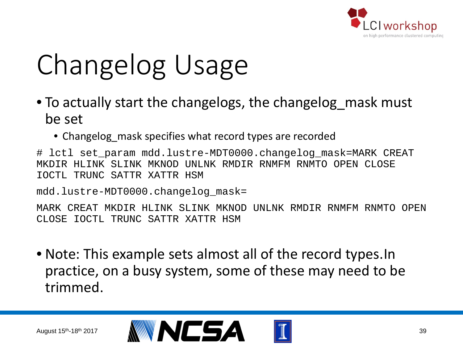

- To actually start the changelogs, the changelog mask must be set
	- Changelog mask specifies what record types are recorded

# lctl set param mdd.lustre-MDT0000.changelog mask=MARK CREAT MKDIR HLINK SLINK MKNOD UNLNK RMDIR RNMFM RNMTO OPEN CLOSE IOCTL TRUNC SATTR XATTR HSM

mdd.lustre-MDT0000.changelog\_mask=

MARK CREAT MKDIR HLINK SLINK MKNOD UNLNK RMDIR RNMFM RNMTO OPEN CLOSE IOCTL TRUNC SATTR XATTR HSM

• Note: This example sets almost all of the record types.In practice, on a busy system, some of these may need to be trimmed.

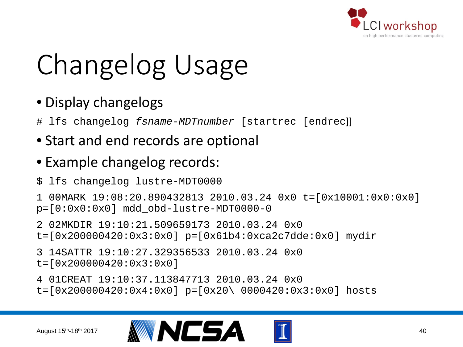

### • Display changelogs

# lfs changelog *fsname*-*MDTnumber* [startrec [endrec]]

### • Start and end records are optional

### • Example changelog records:

\$ lfs changelog lustre-MDT0000

1 00MARK 19:08:20.890432813 2010.03.24 0x0 t=[0x10001:0x0:0x0]  $p=[0:0x0:0x0]$  mdd obd-lustre-MDT0000-0

2 02MKDIR 19:10:21.509659173 2010.03.24 0x0  $t = [0x200000420:0x3:0x0]$   $p = [0x61b4:0xca2c7dde:0x0]$  mydir

3 14SATTR 19:10:27.329356533 2010.03.24 0x0 t=[0x200000420:0x3:0x0]

4 01CREAT 19:10:37.113847713 2010.03.24 0x0  $t=[0x200000420:0x4:0x0]$   $p=[0x20\ (0000420:0x3:0x0]$  hosts



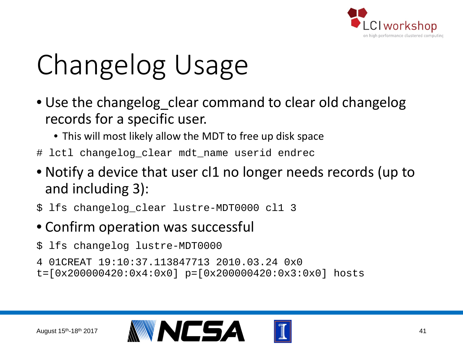

- Use the changelog clear command to clear old changelog records for a specific user.
	- This will most likely allow the MDT to free up disk space
- # lctl changelog clear mdt name userid endrec
- Notify a device that user cl1 no longer needs records (up to and including 3):
- \$ lfs changelog\_clear lustre-MDT0000 cl1 3
- Confirm operation was successful
- \$ lfs changelog lustre-MDT0000
- 4 01CREAT 19:10:37.113847713 2010.03.24 0x0
- t=[0x200000420:0x4:0x0] p=[0x200000420:0x3:0x0] hosts

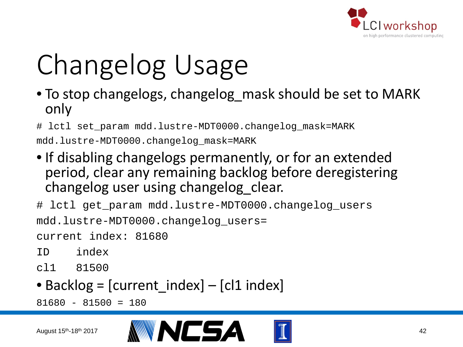

• To stop changelogs, changelog mask should be set to MARK only

# lctl set param mdd.lustre-MDT0000.changelog mask=MARK

mdd.lustre-MDT0000.changelog\_mask=MARK

• If disabling changelogs permanently, or for an extended period, clear any remaining backlog before deregistering changelog user using changelog\_clear.

# lctl get\_param mdd.lustre-MDT0000.changelog\_users

mdd.lustre-MDT0000.changelog\_users=

current index: 81680

ID index

cl1 81500

### • Backlog = [current\_index] – [cl1 index]

81680 - 81500 = 180

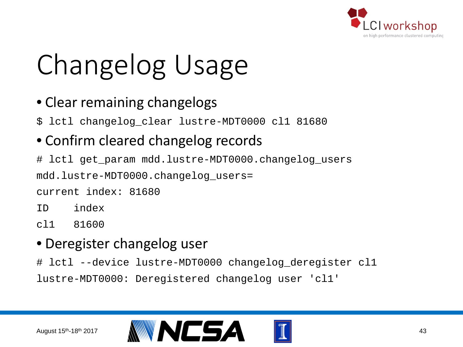

#### • Clear remaining changelogs

\$ lctl changelog\_clear lustre-MDT0000 cl1 81680

### • Confirm cleared changelog records

# lctl get\_param mdd.lustre-MDT0000.changelog\_users

mdd.lustre-MDT0000.changelog\_users=

current index: 81680

- ID index
- cl1 81600

#### • Deregister changelog user

# lctl --device lustre-MDT0000 changelog deregister cl1 lustre-MDT0000: Deregistered changelog user 'cl1'

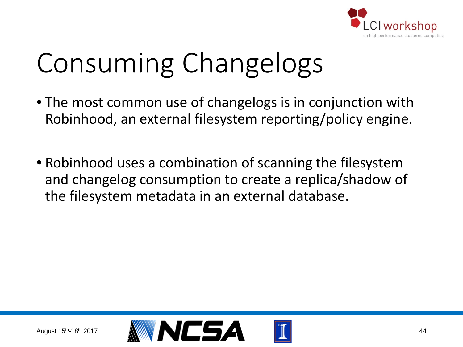

## Consuming Changelogs

- The most common use of changelogs is in conjunction with Robinhood, an external filesystem reporting/policy engine.
- Robinhood uses a combination of scanning the filesystem and changelog consumption to create a replica/shadow of the filesystem metadata in an external database.

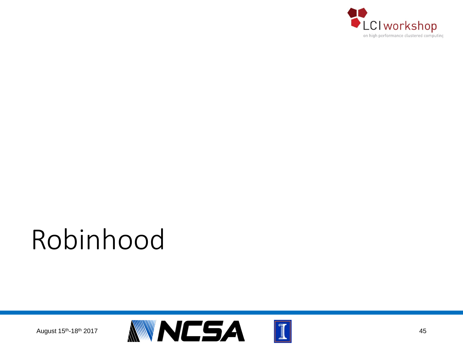

### Robinhood

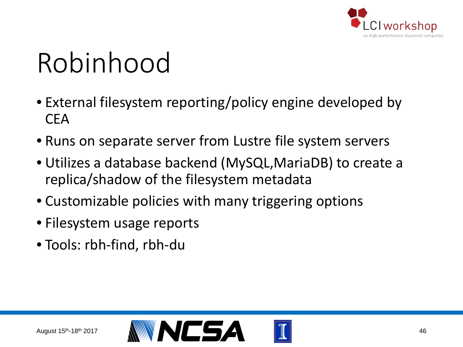

## Robinhood

- External filesystem reporting/policy engine developed by CEA
- Runs on separate server from Lustre file system servers
- Utilizes a database backend (MySQL,MariaDB) to create a replica/shadow of the filesystem metadata
- Customizable policies with many triggering options
- Filesystem usage reports
- Tools: rbh-find, rbh-du

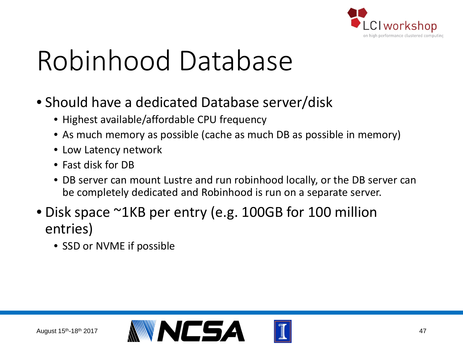

## Robinhood Database

- Should have a dedicated Database server/disk
	- Highest available/affordable CPU frequency
	- As much memory as possible (cache as much DB as possible in memory)
	- Low Latency network
	- Fast disk for DB
	- DB server can mount Lustre and run robinhood locally, or the DB server can be completely dedicated and Robinhood is run on a separate server.
- Disk space ~1KB per entry (e.g. 100GB for 100 million entries)
	- SSD or NVME if possible

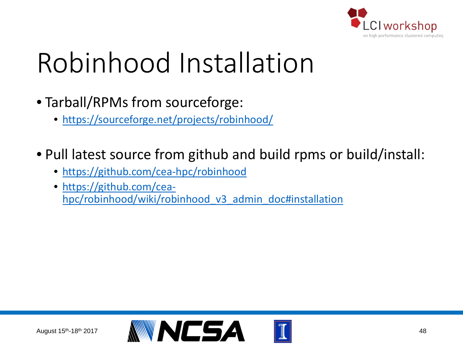

## Robinhood Installation

- Tarball/RPMs from sourceforge:
	- <https://sourceforge.net/projects/robinhood/>
- Pull latest source from github and build rpms or build/install:
	- <https://github.com/cea-hpc/robinhood>
	- https://github.com/cea[hpc/robinhood/wiki/robinhood\\_v3\\_admin\\_doc#installation](https://github.com/cea-hpc/robinhood/wiki/robinhood_v3_admin_doc#installation)

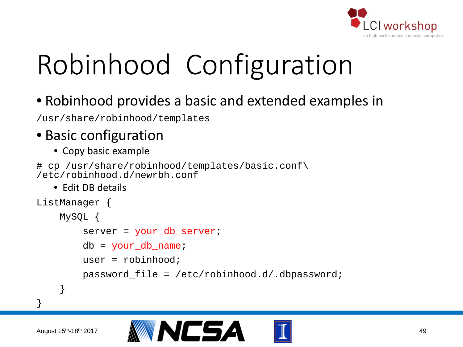

# Robinhood Configuration

• Robinhood provides a basic and extended examples in

/usr/share/robinhood/templates

### • Basic configuration

• Copy basic example

```
# cp /usr/share/robinhood/templates/basic.conf\
/etc/robinhood.d/newrbh.conf
```
• Edit DB details

```
ListManager {
    MySQL {
        server = your_db_server;
        db = your db name;user = \text{robinhood};
        password file = /etc/robinhood.d/.dbpassword;}
```
}

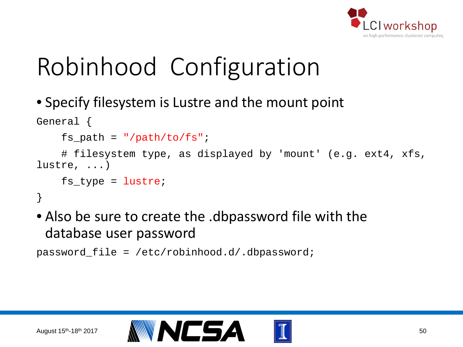

### Robinhood Configuration

#### • Specify filesystem is Lustre and the mount point

```
General {
```

```
fs path = "/path/to/fs";
```

```
# filesystem type, as displayed by 'mount' (e.g. ext4, xfs, 
lustre, ...)
```

```
fs_type = lustre;
```
}

• Also be sure to create the .dbpassword file with the database user password

```
password_file = /etc/robinhood.d/.dbpassword;
```
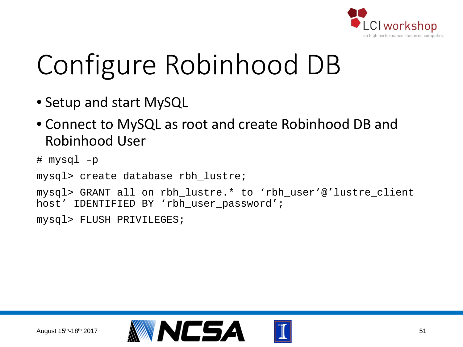

## Configure Robinhood DB

- Setup and start MySQL
- Connect to MySQL as root and create Robinhood DB and Robinhood User
- # mysql –p

```
mysql> create database rbh lustre;
```

```
mysql> GRANT all on rbh_lustre.* to 'rbh_user'@'lustre_client
host' IDENTIFIED BY 'rbh_user_password';
```
mysql> FLUSH PRIVILEGES;

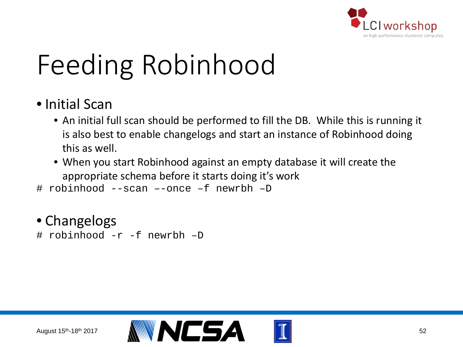

## Feeding Robinhood

- Initial Scan
	- An initial full scan should be performed to fill the DB. While this is running it is also best to enable changelogs and start an instance of Robinhood doing this as well.
	- When you start Robinhood against an empty database it will create the appropriate schema before it starts doing it's work
- # robinhood --scan –-once –f newrbh –D

#### • Changelogs

# robinhood -r -f newrbh –D

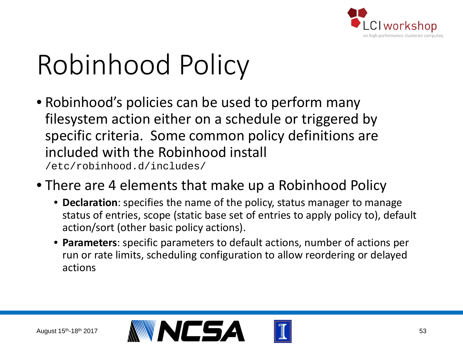

## Robinhood Policy

- Robinhood's policies can be used to perform many filesystem action either on a schedule or triggered by specific criteria. Some common policy definitions are included with the Robinhood install /etc/robinhood.d/includes/
- There are 4 elements that make up a Robinhood Policy
	- **Declaration**: specifies the name of the policy, status manager to manage status of entries, scope (static base set of entries to apply policy to), default action/sort (other basic policy actions).
	- **Parameters**: specific parameters to default actions, number of actions per run or rate limits, scheduling configuration to allow reordering or delayed actions

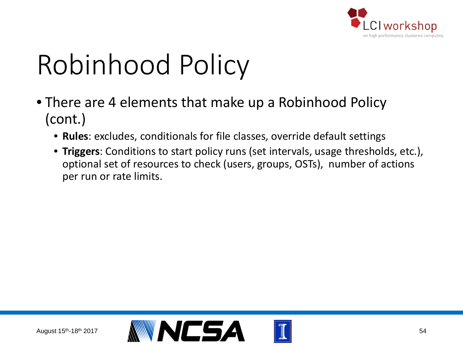

# Robinhood Policy

- There are 4 elements that make up a Robinhood Policy (cont.)
	- **Rules**: excludes, conditionals for file classes, override default settings
	- **Triggers**: Conditions to start policy runs (set intervals, usage thresholds, etc.), optional set of resources to check (users, groups, OSTs), number of actions per run or rate limits.

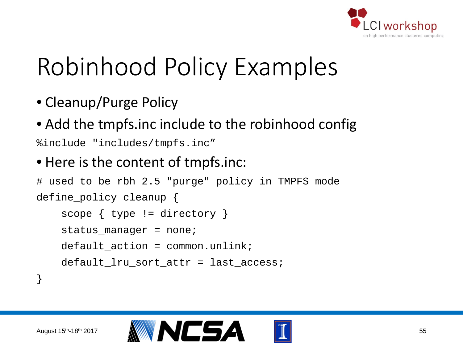

- Cleanup/Purge Policy
- Add the tmpfs.inc include to the robinhood config

%include "includes/tmpfs.inc"

#### • Here is the content of tmpfs.inc:

```
# used to be rbh 2.5 "purge" policy in TMPFS mode
define_policy cleanup {
    scope \{ \text{type} \} = directory \}status_manager = none;
    default\_action = common.unlink;default lru sort attr = last access;
```


}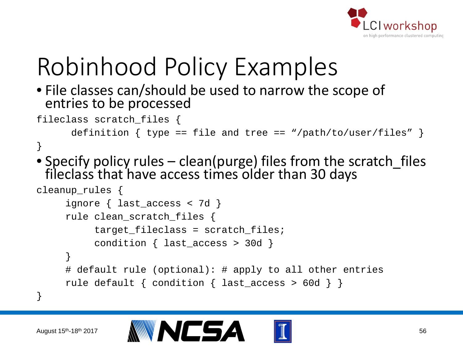

• File classes can/should be used to narrow the scope of entries to be processed

```
fileclass scratch_files {
```
definition { type == file and tree == "/path/to/user/files" }

}

• Specify policy rules – clean(purge) files from the scratch\_files fileclass that have access times older than 30 days

```
cleanup_rules { 
     ignore { last_access < 7d } 
     rule clean_scratch_files { 
          target fileclass = scratch files;
          condition { last_access > 30d } 
     } 
     # default rule (optional): # apply to all other entries 
     rule default { condition { last access > 60d } }
}
```


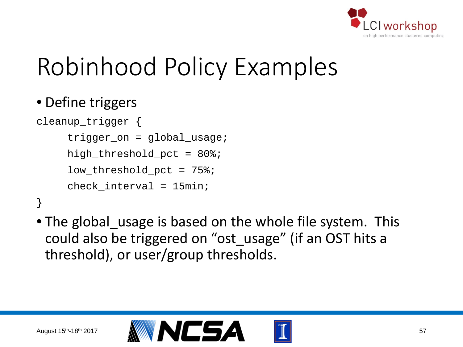

### • Define triggers

```
cleanup_trigger { 
     trigger on = global usage;
     high_threshold_pct = 80%; 
     low threshold pct = 75%;
     check interval = 15min;
}
```
• The global usage is based on the whole file system. This could also be triggered on "ost\_usage" (if an OST hits a threshold), or user/group thresholds.

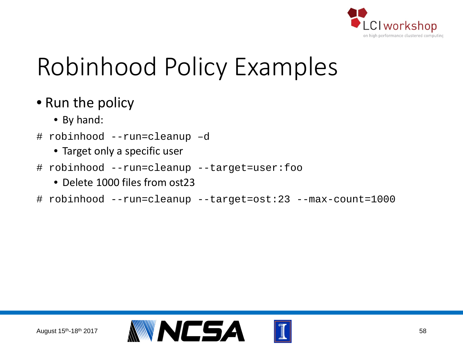

### • Run the policy

- By hand:
- # robinhood --run=cleanup –d
	- Target only a specific user
- # robinhood --run=cleanup --target=user:foo
	- Delete 1000 files from ost23
- # robinhood --run=cleanup --target=ost:23 --max-count=1000

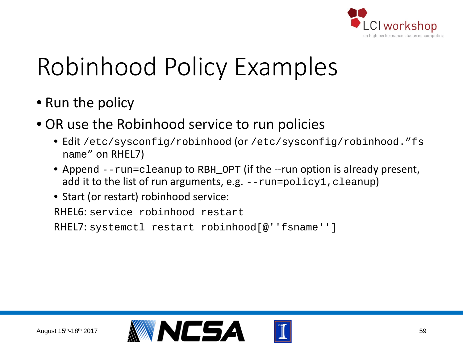

- Run the policy
- OR use the Robinhood service to run policies
	- Edit /etc/sysconfig/robinhood (or /etc/sysconfig/robinhood."fs name" on RHEL7)
	- Append --run=cleanup to RBH\_OPT (if the --run option is already present, add it to the list of run arguments, e.g.  $-$ -run=policy1, cleanup)
	- Start (or restart) robinhood service:

RHEL6: service robinhood restart

RHEL7: systemctl restart robinhood[@''fsname'']

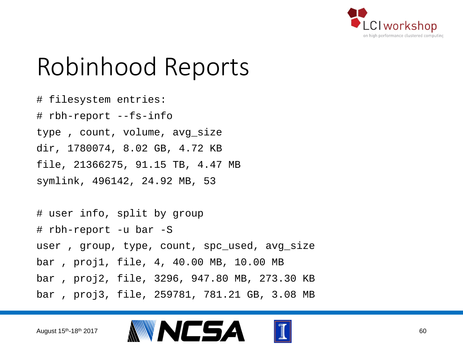

### Robinhood Reports

# filesystem entries: # rbh-report --fs-info type , count, volume, avg\_size dir, 1780074, 8.02 GB, 4.72 KB file, 21366275, 91.15 TB, 4.47 MB symlink, 496142, 24.92 MB, 53

# user info, split by group # rbh-report -u bar -S user , group, type, count, spc\_used, avg\_size bar , proj1, file, 4, 40.00 MB, 10.00 MB bar , proj2, file, 3296, 947.80 MB, 273.30 KB bar , proj3, file, 259781, 781.21 GB, 3.08 MB

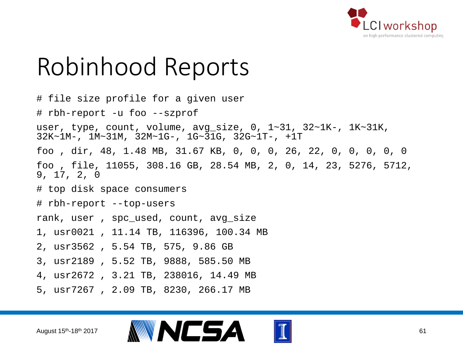

### Robinhood Reports

# file size profile for a given user # rbh-report -u foo --szprof user, type, count, volume, avg\_size, 0, 1~31, 32~1K-, 1K~31K, 32K~1M-, 1M~31M, 32M~1G-, 1G~31G, 32G~1T-, +1T foo , dir, 48, 1.48 MB, 31.67 KB, 0, 0, 0, 26, 22, 0, 0, 0, 0, 0 foo , file, 11055, 308.16 GB, 28.54 MB, 2, 0, 14, 23, 5276, 5712,<br>9, 17, 2, 0 # top disk space consumers # rbh-report --top-users rank, user, spc used, count, avg size 1, usr0021 , 11.14 TB, 116396, 100.34 MB 2, usr3562 , 5.54 TB, 575, 9.86 GB 3, usr2189 , 5.52 TB, 9888, 585.50 MB 4, usr2672 , 3.21 TB, 238016, 14.49 MB 5, usr7267 , 2.09 TB, 8230, 266.17 MB



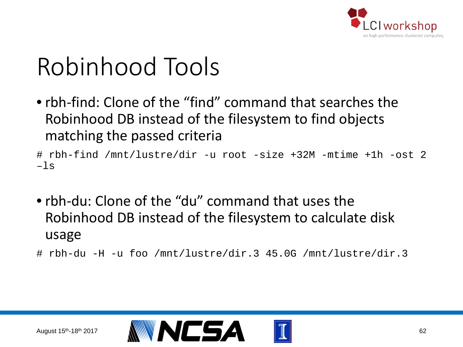

### Robinhood Tools

• rbh-find: Clone of the "find" command that searches the Robinhood DB instead of the filesystem to find objects matching the passed criteria

# rbh-find /mnt/lustre/dir -u root -size +32M -mtime +1h -ost 2  $-1s$ 

- rbh-du: Clone of the "du" command that uses the Robinhood DB instead of the filesystem to calculate disk usage
- # rbh-du -H -u foo /mnt/lustre/dir.3 45.0G /mnt/lustre/dir.3

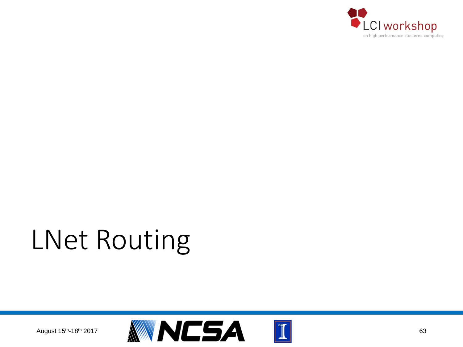

## LNet Routing

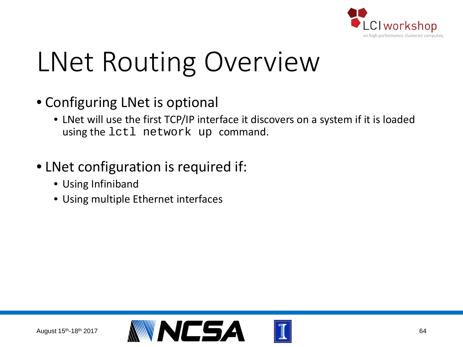

## LNet Routing Overview

#### • Configuring LNet is optional

• LNet will use the first TCP/IP interface it discovers on a system if it is loaded using the lctl network up command.

#### • LNet configuration is required if:

- Using Infiniband
- Using multiple Ethernet interfaces

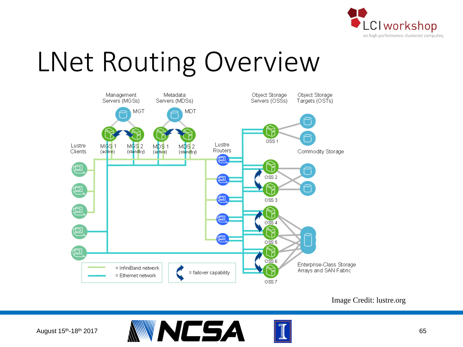

### LNet Routing Overview



Image Credit: lustre.org

August 15th-18th 2017



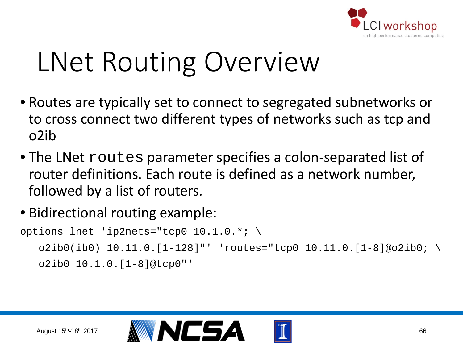

## LNet Routing Overview

- Routes are typically set to connect to segregated subnetworks or to cross connect two different types of networks such as tcp and o2ib
- The LNet routes parameter specifies a colon-separated list of router definitions. Each route is defined as a network number, followed by a list of routers.
- Bidirectional routing example:

```
options lnet 'ip2nets="tcp0 10.1.0.*; \
   o2ib0(ib0) 10.11.0.[1-128]"' 'routes="tcp0 10.11.0.[1-8]@o2ib0; \
   o2ib0 10.1.0.[1-8]@tcp0"'
```
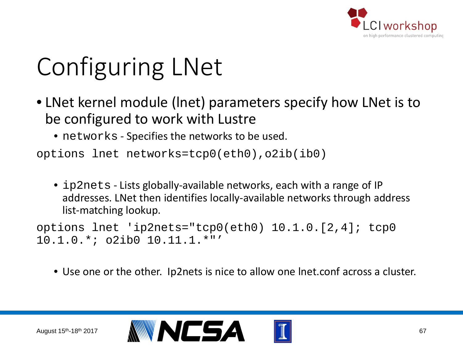

## Configuring LNet

- LNet kernel module (lnet) parameters specify how LNet is to be configured to work with Lustre
	- networks Specifies the networks to be used.

options lnet networks=tcp0(eth0),o2ib(ib0)

• ip2nets - Lists globally-available networks, each with a range of IP addresses. LNet then identifies locally-available networks through address list-matching lookup.

options lnet 'ip2nets="tcp0(eth0) 10.1.0.[2,4]; tcp0 10.1.0.\*; o2ib0 10.11.1.\*"'

• Use one or the other. Ip2nets is nice to allow one lnet.conf across a cluster.

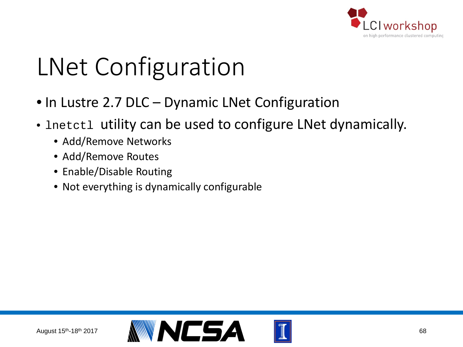

### LNet Configuration

- In Lustre 2.7 DLC Dynamic LNet Configuration
- Inetctl utility can be used to configure LNet dynamically.
	- Add/Remove Networks
	- Add/Remove Routes
	- Enable/Disable Routing
	- Not everything is dynamically configurable

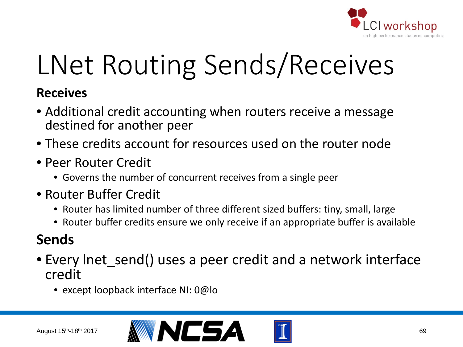

# LNet Routing Sends/Receives

#### **Receives**

- Additional credit accounting when routers receive a message destined for another peer
- These credits account for resources used on the router node
- Peer Router Credit
	- Governs the number of concurrent receives from a single peer
- Router Buffer Credit
	- Router has limited number of three different sized buffers: tiny, small, large
	- Router buffer credits ensure we only receive if an appropriate buffer is available

### **Sends**

- Every lnet\_send() uses a peer credit and a network interface credit
	- except loopback interface NI: 0@lo



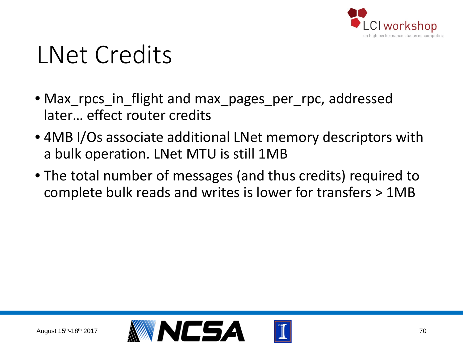

### LNet Credits

- Max rpcs in flight and max pages per rpc, addressed later… effect router credits
- 4MB I/Os associate additional LNet memory descriptors with a bulk operation. LNet MTU is still 1MB
- The total number of messages (and thus credits) required to complete bulk reads and writes is lower for transfers > 1MB

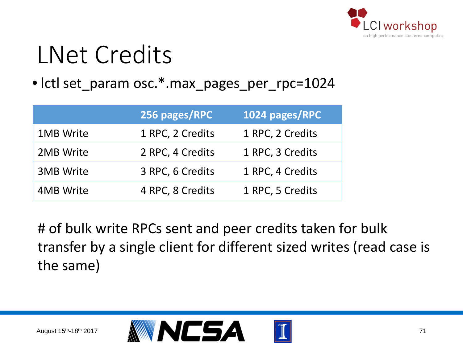

### LNet Credits

• lctl set\_param osc.\*.max\_pages\_per\_rpc=1024

|                  | 256 pages/RPC    | 1024 pages/RPC   |
|------------------|------------------|------------------|
| <b>1MB Write</b> | 1 RPC, 2 Credits | 1 RPC, 2 Credits |
| 2MB Write        | 2 RPC, 4 Credits | 1 RPC, 3 Credits |
| <b>3MB Write</b> | 3 RPC, 6 Credits | 1 RPC, 4 Credits |
| <b>4MB Write</b> | 4 RPC, 8 Credits | 1 RPC, 5 Credits |

# of bulk write RPCs sent and peer credits taken for bulk transfer by a single client for different sized writes (read case is the same)

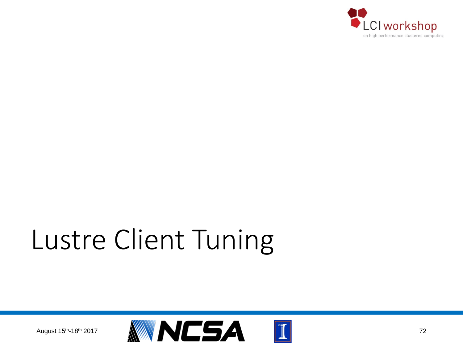

## Lustre Client Tuning

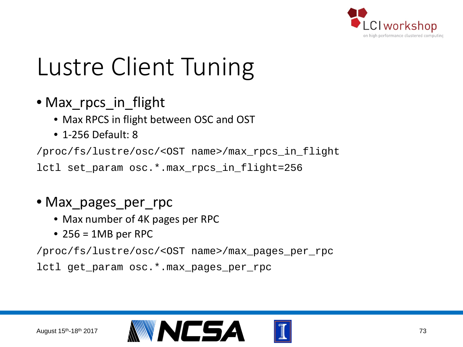

## Lustre Client Tuning

- Max\_rpcs\_in\_flight
	- Max RPCS in flight between OSC and OST
	- 1-256 Default: 8

/proc/fs/lustre/osc/<OST name>/max\_rpcs\_in\_flight

lctl set param osc.\*.max rpcs in flight=256

#### • Max\_pages\_per\_rpc

- Max number of 4K pages per RPC
- 256 =  $1MB$  per RPC

/proc/fs/lustre/osc/<OST name>/max\_pages\_per\_rpc

lctl get\_param osc.\*.max\_pages\_per\_rpc

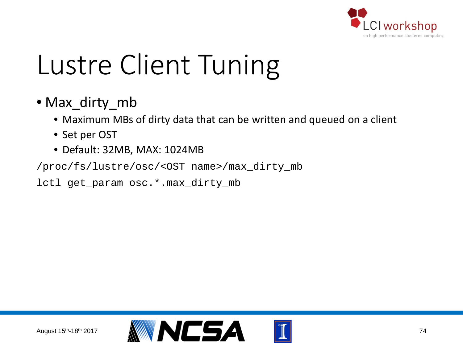

# Lustre Client Tuning

- Max\_dirty\_mb
	- Maximum MBs of dirty data that can be written and queued on a client
	- Set per OST
	- Default: 32MB, MAX: 1024MB

/proc/fs/lustre/osc/<OST name>/max\_dirty\_mb

lctl get\_param osc.\*.max\_dirty\_mb

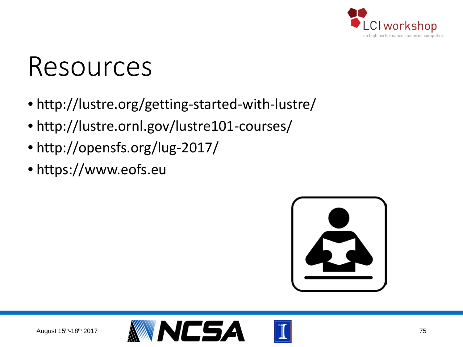

## Resources

- http://lustre.org/getting-started-with-lustre/
- http://lustre.ornl.gov/lustre101-courses/
- http://opensfs.org/lug-2017/
- https://www.eofs.eu



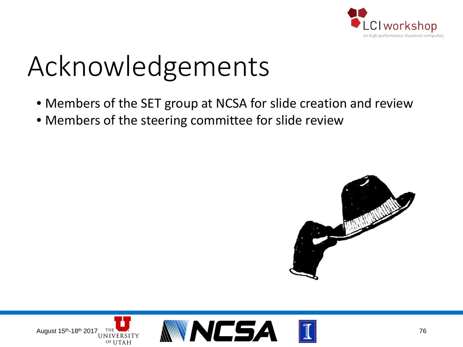

# Acknowledgements

- Members of the SET group at NCSA for slide creation and review
- Members of the steering committee for slide review